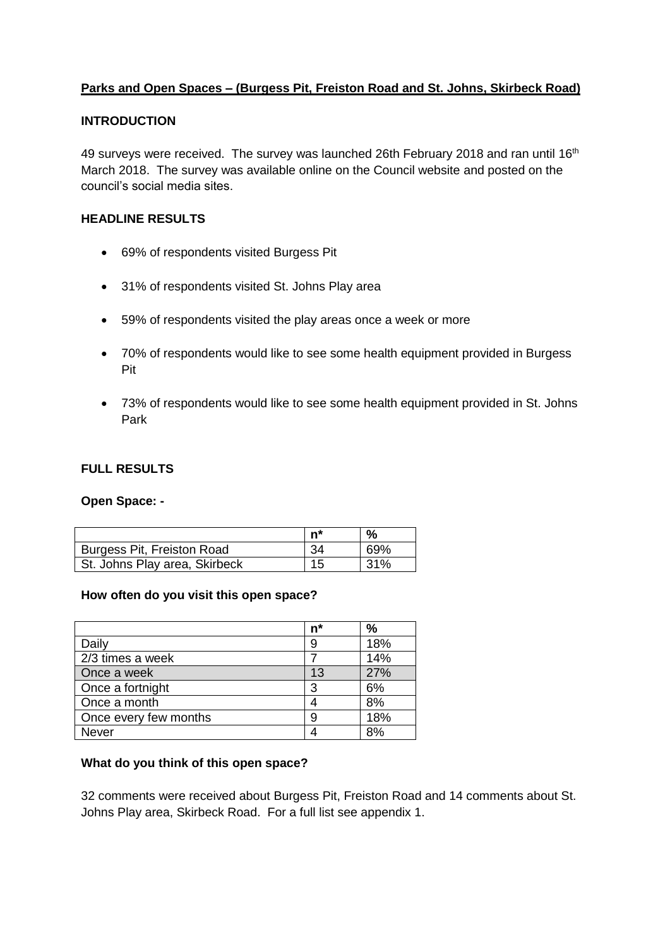## **Parks and Open Spaces – (Burgess Pit, Freiston Road and St. Johns, Skirbeck Road)**

### **INTRODUCTION**

49 surveys were received. The survey was launched 26th February 2018 and ran until 16<sup>th</sup> March 2018. The survey was available online on the Council website and posted on the council's social media sites.

### **HEADLINE RESULTS**

- 69% of respondents visited Burgess Pit
- 31% of respondents visited St. Johns Play area
- 59% of respondents visited the play areas once a week or more
- 70% of respondents would like to see some health equipment provided in Burgess Pit
- 73% of respondents would like to see some health equipment provided in St. Johns Park

#### **FULL RESULTS**

#### **Open Space: -**

|                               | n* | %   |
|-------------------------------|----|-----|
| Burgess Pit, Freiston Road    | 34 | 69% |
| St. Johns Play area, Skirbeck | 15 | 31% |

#### **How often do you visit this open space?**

|                       | $n^*$ | %   |
|-----------------------|-------|-----|
| Daily                 | 9     | 18% |
| 2/3 times a week      |       | 14% |
| Once a week           | 13    | 27% |
| Once a fortnight      | 3     | 6%  |
| Once a month          |       | 8%  |
| Once every few months | 9     | 18% |
| <b>Never</b>          |       | ጸ%  |

### **What do you think of this open space?**

32 comments were received about Burgess Pit, Freiston Road and 14 comments about St. Johns Play area, Skirbeck Road. For a full list see appendix 1.